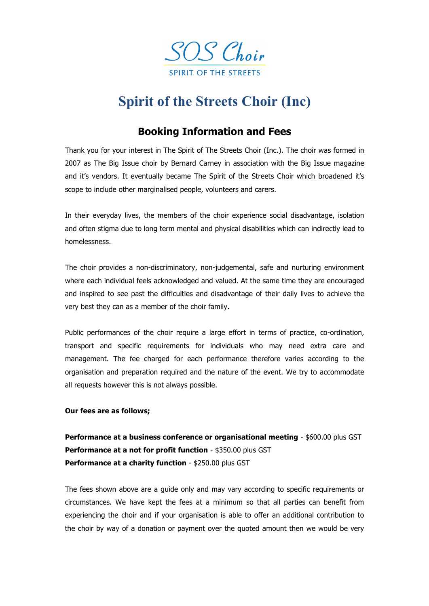

## **Spirit of the Streets Choir (Inc)**

## **Booking Information and Fees**

Thank you for your interest in The Spirit of The Streets Choir (Inc.). The choir was formed in 2007 as The Big Issue choir by Bernard Carney in association with the Big Issue magazine and it's vendors. It eventually became The Spirit of the Streets Choir which broadened it's scope to include other marginalised people, volunteers and carers.

In their everyday lives, the members of the choir experience social disadvantage, isolation and often stigma due to long term mental and physical disabilities which can indirectly lead to homelessness.

The choir provides a non-discriminatory, non-judgemental, safe and nurturing environment where each individual feels acknowledged and valued. At the same time they are encouraged and inspired to see past the difficulties and disadvantage of their daily lives to achieve the very best they can as a member of the choir family.

Public performances of the choir require a large effort in terms of practice, co-ordination, transport and specific requirements for individuals who may need extra care and management. The fee charged for each performance therefore varies according to the organisation and preparation required and the nature of the event. We try to accommodate all requests however this is not always possible.

## **Our fees are as follows;**

**Performance at a business conference or organisational meeting - \$600.00 plus GST Performance at a not for profit function** - \$350.00 plus GST **Performance at a charity function** - \$250.00 plus GST

The fees shown above are a guide only and may vary according to specific requirements or circumstances. We have kept the fees at a minimum so that all parties can benefit from experiencing the choir and if your organisation is able to offer an additional contribution to the choir by way of a donation or payment over the quoted amount then we would be very